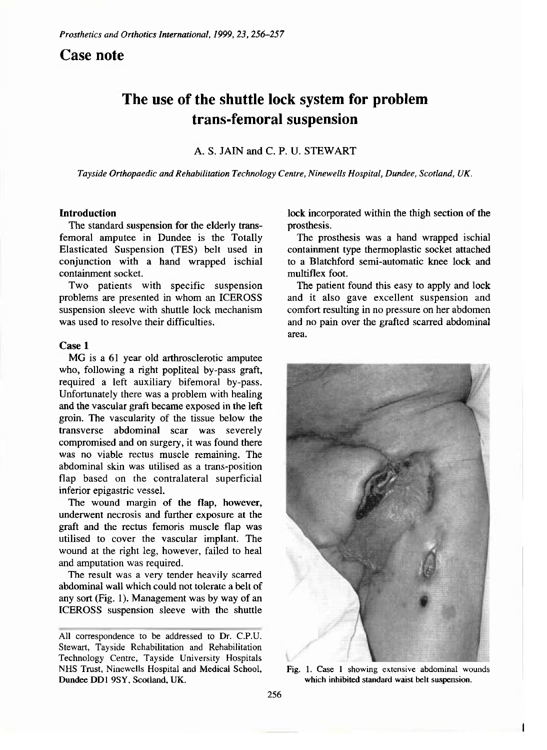# **Case note**

# **The use of the shuttle lock system for problem trans-femoral suspension**

A. S. JAIN and C. P. U. STEWART

*Tayside Orthopaedic and Rehabilitation Technology Centre, Ninewells Hospital, Dundee, Scotland, UK.* 

## Introduction

The standard suspension for the elderly transfemoral amputee in Dundee is the Totally Elasticated Suspension (TES) belt used in conjunction with a hand wrapped ischial containment socket.

Two patients with specific suspension problems are presented in whom an ICEROSS suspension sleeve with shuttle lock mechanism was used to resolve their difficulties.

#### Case **1**

MG is a 61 year old arthrosclerotic amputee who, following a right popliteal by-pass graft, required a left auxiliary bifemoral by-pass. Unfortunately there was a problem with healing and the vascular graft became exposed in the left groin. The vascularity of the tissue below the transverse abdominal scar was severely compromised and on surgery, it was found there was no viable rectus muscle remaining. The abdominal skin was utilised as a trans-position flap based on the contralateral superficial inferior epigastric vessel.

The wound margin of the flap, however, underwent necrosis and further exposure at the graft and the rectus femoris muscle flap was utilised to cover the vascular implant. The wound at the right leg, however, failed to heal and amputation was required.

The result was a very tender heavily scarred abdominal wall which could not tolerate a belt of any sort (Fig. 1). Management was by way of an ICEROSS suspension sleeve with the shuttle

lock incorporated within the thigh section of the prosthesis.

The prosthesis was a hand wrapped ischial containment type thermoplastic socket attached to a Blatchford semi-automatic knee lock and multiflex foot.

The patient found this easy to apply and lock and it also gave excellent suspension and comfort resulting in no pressure on her abdomen and no pain over the grafted scarred abdominal area.



**Fig. 1. Case 1 showing extensive abdominal wounds which inhibited standard waist belt suspension.** 

**All correspondence to be addressed to Dr. C.P.U. Stewart, Tayside Rehabilitation and Rehabilitation Technology Centre, Tayside University Hospitals NHS Trust, Ninewells Hospital and Medical School, Dundee** DD1 9SY, **Scotland, UK.**